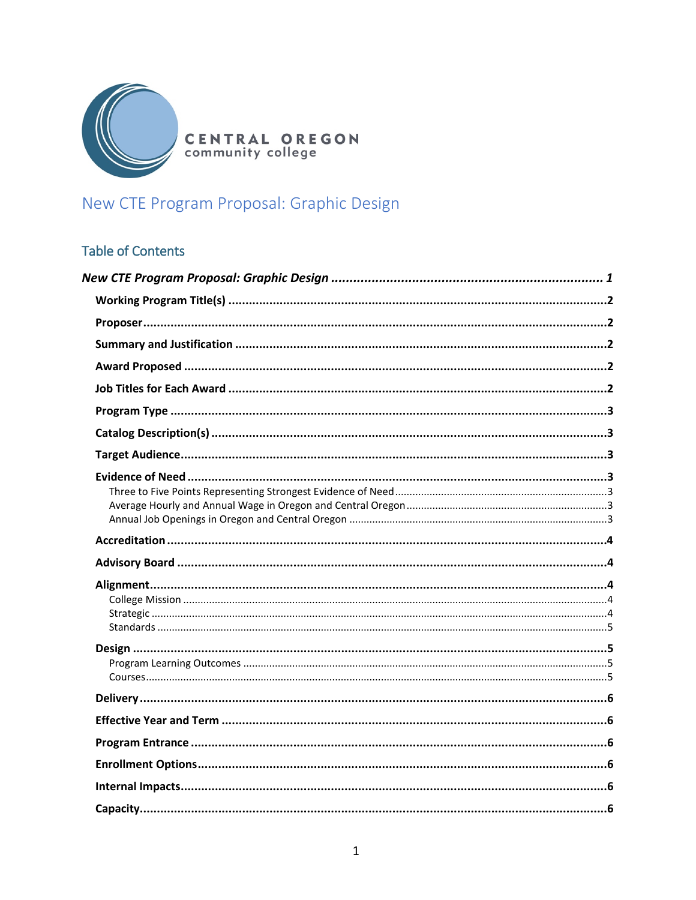

**CENTRAL OREGON**<br>community college

# <span id="page-0-0"></span>New CTE Program Proposal: Graphic Design

# **Table of Contents**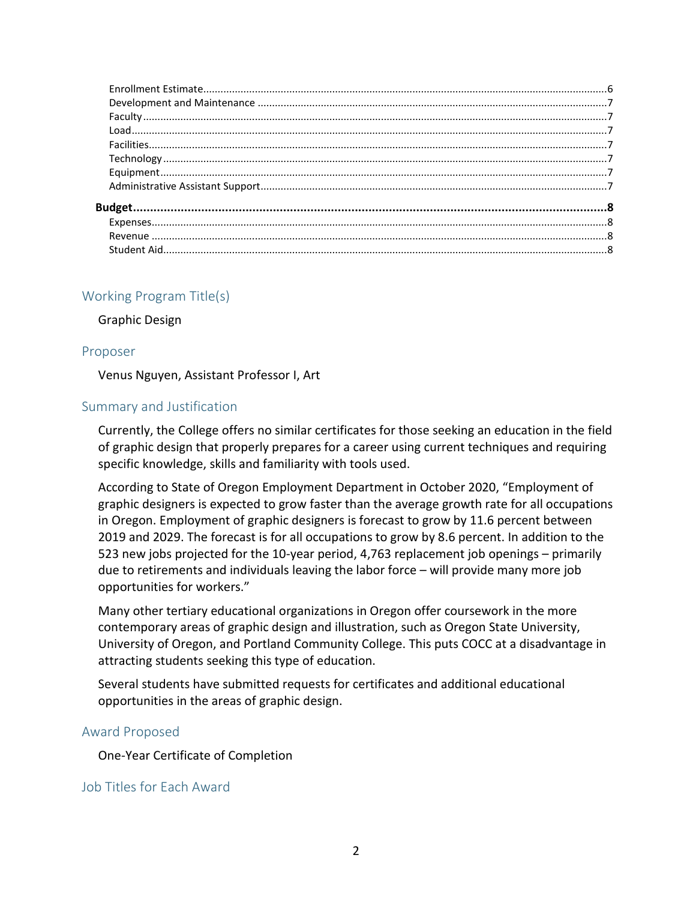# <span id="page-1-0"></span>Working Program Title(s)

Graphic Design

#### <span id="page-1-1"></span>Proposer

Venus Nguyen, Assistant Professor I, Art

# <span id="page-1-2"></span>Summary and Justification

Currently, the College offers no similar certificates for those seeking an education in the field of graphic design that properly prepares for a career using current techniques and requiring specific knowledge, skills and familiarity with tools used.

According to State of Oregon Employment Department in October 2020, "Employment of graphic designers is expected to grow faster than the average growth rate for all occupations in Oregon. Employment of graphic designers is forecast to grow by 11.6 percent between 2019 and 2029. The forecast is for all occupations to grow by 8.6 percent. In addition to the 523 new jobs projected for the 10-year period, 4,763 replacement job openings – primarily due to retirements and individuals leaving the labor force – will provide many more job opportunities for workers."

Many other tertiary educational organizations in Oregon offer coursework in the more contemporary areas of graphic design and illustration, such as Oregon State University, University of Oregon, and Portland Community College. This puts COCC at a disadvantage in attracting students seeking this type of education.

Several students have submitted requests for certificates and additional educational opportunities in the areas of graphic design.

# <span id="page-1-3"></span>Award Proposed

One-Year Certificate of Completion

# <span id="page-1-4"></span>Job Titles for Each Award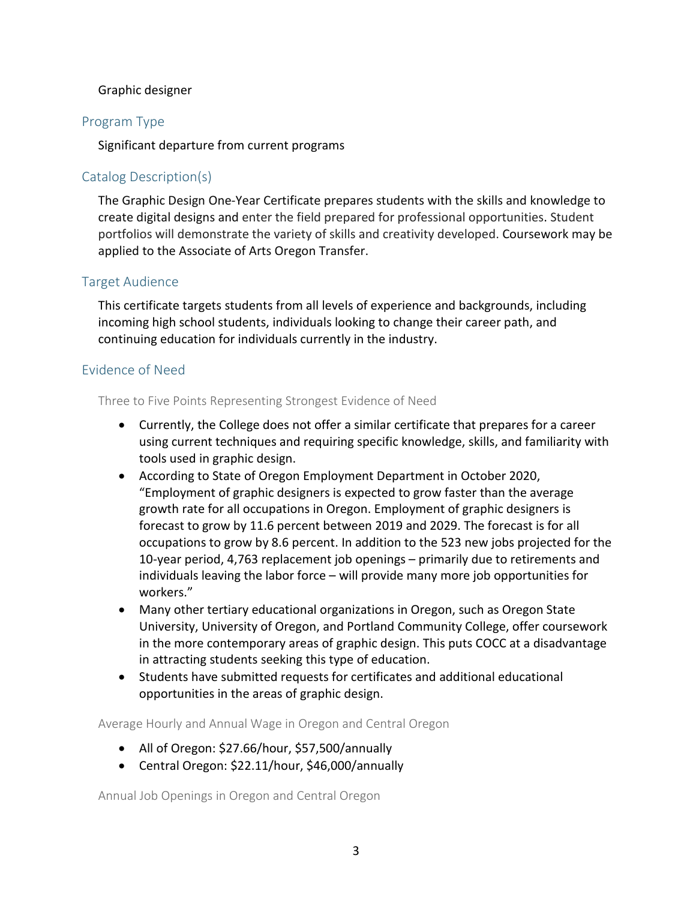#### Graphic designer

# <span id="page-2-0"></span>Program Type

Significant departure from current programs

# <span id="page-2-1"></span>Catalog Description(s)

The Graphic Design One-Year Certificate prepares students with the skills and knowledge to create digital designs and enter the field prepared for professional opportunities. Student portfolios will demonstrate the variety of skills and creativity developed. Coursework may be applied to the Associate of Arts Oregon Transfer.

#### <span id="page-2-2"></span>Target Audience

This certificate targets students from all levels of experience and backgrounds, including incoming high school students, individuals looking to change their career path, and continuing education for individuals currently in the industry.

#### <span id="page-2-3"></span>Evidence of Need

<span id="page-2-4"></span>Three to Five Points Representing Strongest Evidence of Need

- Currently, the College does not offer a similar certificate that prepares for a career using current techniques and requiring specific knowledge, skills, and familiarity with tools used in graphic design.
- According to State of Oregon Employment Department in October 2020, "Employment of graphic designers is expected to grow faster than the average growth rate for all occupations in Oregon. Employment of graphic designers is forecast to grow by 11.6 percent between 2019 and 2029. The forecast is for all occupations to grow by 8.6 percent. In addition to the 523 new jobs projected for the 10-year period, 4,763 replacement job openings – primarily due to retirements and individuals leaving the labor force – will provide many more job opportunities for workers."
- Many other tertiary educational organizations in Oregon, such as Oregon State University, University of Oregon, and Portland Community College, offer coursework in the more contemporary areas of graphic design. This puts COCC at a disadvantage in attracting students seeking this type of education.
- Students have submitted requests for certificates and additional educational opportunities in the areas of graphic design.

<span id="page-2-5"></span>Average Hourly and Annual Wage in Oregon and Central Oregon

- All of Oregon: \$27.66/hour, \$57,500/annually
- Central Oregon: \$22.11/hour, \$46,000/annually

<span id="page-2-6"></span>Annual Job Openings in Oregon and Central Oregon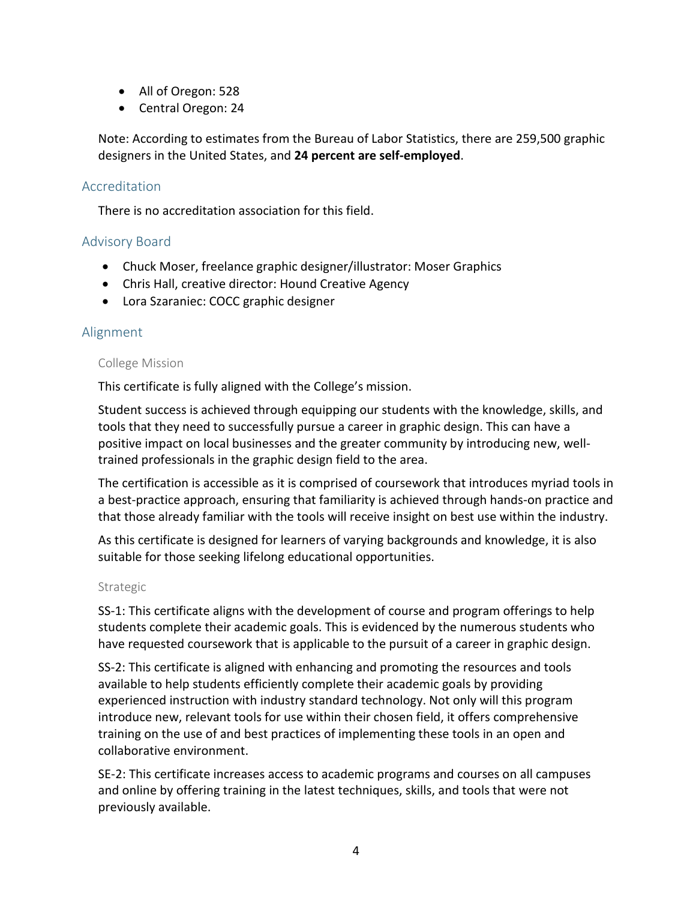- All of Oregon: 528
- Central Oregon: 24

Note: According to estimates from the Bureau of Labor Statistics, there are 259,500 graphic designers in the United States, and **24 percent are self-employed**.

#### <span id="page-3-0"></span>Accreditation

There is no accreditation association for this field.

# <span id="page-3-1"></span>Advisory Board

- Chuck Moser, freelance graphic designer/illustrator: Moser Graphics
- Chris Hall, creative director: Hound Creative Agency
- Lora Szaraniec: COCC graphic designer

# <span id="page-3-2"></span>Alignment

#### <span id="page-3-3"></span>College Mission

This certificate is fully aligned with the College's mission.

Student success is achieved through equipping our students with the knowledge, skills, and tools that they need to successfully pursue a career in graphic design. This can have a positive impact on local businesses and the greater community by introducing new, welltrained professionals in the graphic design field to the area.

The certification is accessible as it is comprised of coursework that introduces myriad tools in a best-practice approach, ensuring that familiarity is achieved through hands-on practice and that those already familiar with the tools will receive insight on best use within the industry.

As this certificate is designed for learners of varying backgrounds and knowledge, it is also suitable for those seeking lifelong educational opportunities.

#### <span id="page-3-4"></span>Strategic

SS-1: This certificate aligns with the development of course and program offerings to help students complete their academic goals. This is evidenced by the numerous students who have requested coursework that is applicable to the pursuit of a career in graphic design.

SS-2: This certificate is aligned with enhancing and promoting the resources and tools available to help students efficiently complete their academic goals by providing experienced instruction with industry standard technology. Not only will this program introduce new, relevant tools for use within their chosen field, it offers comprehensive training on the use of and best practices of implementing these tools in an open and collaborative environment.

SE-2: This certificate increases access to academic programs and courses on all campuses and online by offering training in the latest techniques, skills, and tools that were not previously available.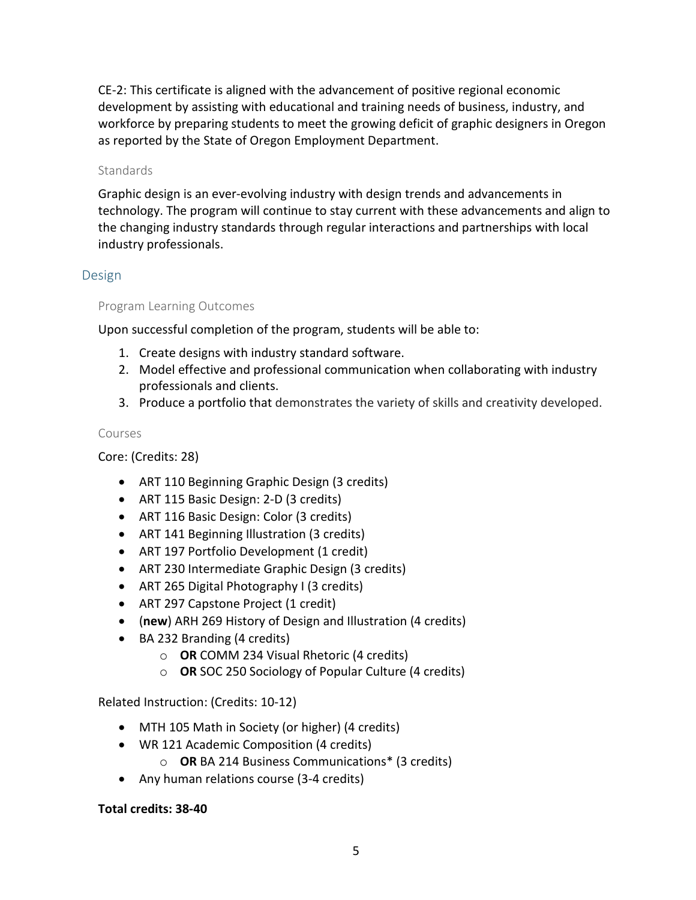CE-2: This certificate is aligned with the advancement of positive regional economic development by assisting with educational and training needs of business, industry, and workforce by preparing students to meet the growing deficit of graphic designers in Oregon as reported by the State of Oregon Employment Department.

#### <span id="page-4-0"></span>**Standards**

Graphic design is an ever-evolving industry with design trends and advancements in technology. The program will continue to stay current with these advancements and align to the changing industry standards through regular interactions and partnerships with local industry professionals.

# <span id="page-4-1"></span>Design

# <span id="page-4-2"></span>Program Learning Outcomes

Upon successful completion of the program, students will be able to:

- 1. Create designs with industry standard software.
- 2. Model effective and professional communication when collaborating with industry professionals and clients.
- 3. Produce a portfolio that demonstrates the variety of skills and creativity developed.

#### <span id="page-4-3"></span>Courses

Core: (Credits: 28)

- ART 110 Beginning Graphic Design (3 credits)
- ART 115 Basic Design: 2-D (3 credits)
- ART 116 Basic Design: Color (3 credits)
- ART 141 Beginning Illustration (3 credits)
- ART 197 Portfolio Development (1 credit)
- ART 230 Intermediate Graphic Design (3 credits)
- ART 265 Digital Photography I (3 credits)
- ART 297 Capstone Project (1 credit)
- (**new**) ARH 269 History of Design and Illustration (4 credits)
- BA 232 Branding (4 credits)
	- o **OR** COMM 234 Visual Rhetoric (4 credits)
	- o **OR** SOC 250 Sociology of Popular Culture (4 credits)

Related Instruction: (Credits: 10-12)

- MTH 105 Math in Society (or higher) (4 credits)
- WR 121 Academic Composition (4 credits)
	- o **OR** BA 214 Business Communications\* (3 credits)
- Any human relations course (3-4 credits)

# **Total credits: 38-40**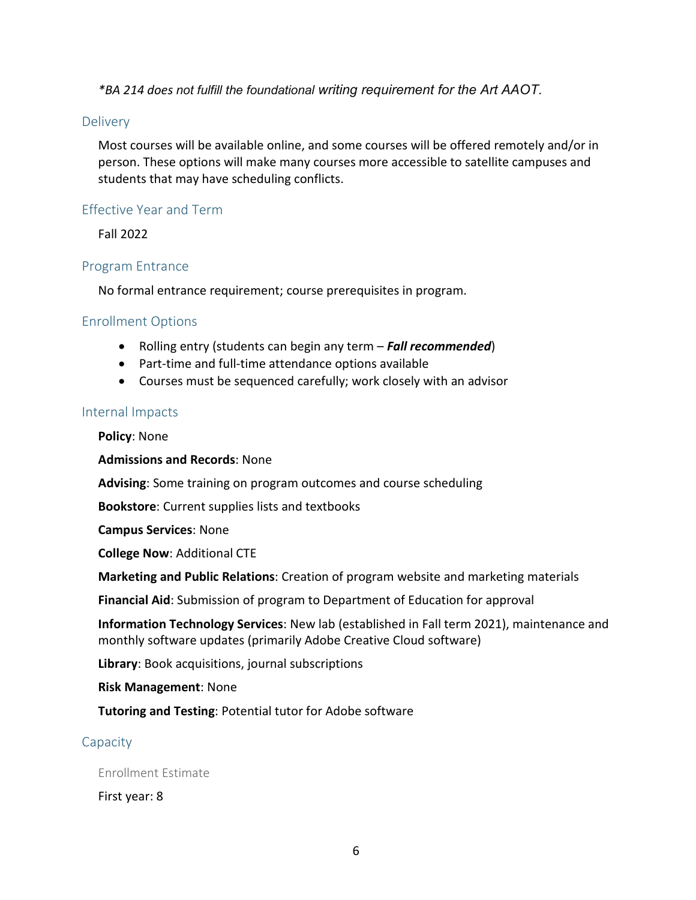*\*BA 214 does not fulfill the foundational writing requirement for the Art AAOT.*

#### <span id="page-5-0"></span>**Delivery**

Most courses will be available online, and some courses will be offered remotely and/or in person. These options will make many courses more accessible to satellite campuses and students that may have scheduling conflicts.

#### <span id="page-5-1"></span>Effective Year and Term

Fall 2022

#### <span id="page-5-2"></span>Program Entrance

No formal entrance requirement; course prerequisites in program.

# <span id="page-5-3"></span>Enrollment Options

- Rolling entry (students can begin any term *Fall recommended*)
- Part-time and full-time attendance options available
- Courses must be sequenced carefully; work closely with an advisor

#### <span id="page-5-4"></span>Internal Impacts

**Policy**: None

**Admissions and Records**: None

**Advising**: Some training on program outcomes and course scheduling

**Bookstore**: Current supplies lists and textbooks

**Campus Services**: None

**College Now**: Additional CTE

**Marketing and Public Relations**: Creation of program website and marketing materials

**Financial Aid**: Submission of program to Department of Education for approval

**Information Technology Services**: New lab (established in Fall term 2021), maintenance and monthly software updates (primarily Adobe Creative Cloud software)

**Library**: Book acquisitions, journal subscriptions

**Risk Management**: None

**Tutoring and Testing**: Potential tutor for Adobe software

# <span id="page-5-5"></span>Capacity

<span id="page-5-6"></span>Enrollment Estimate

First year: 8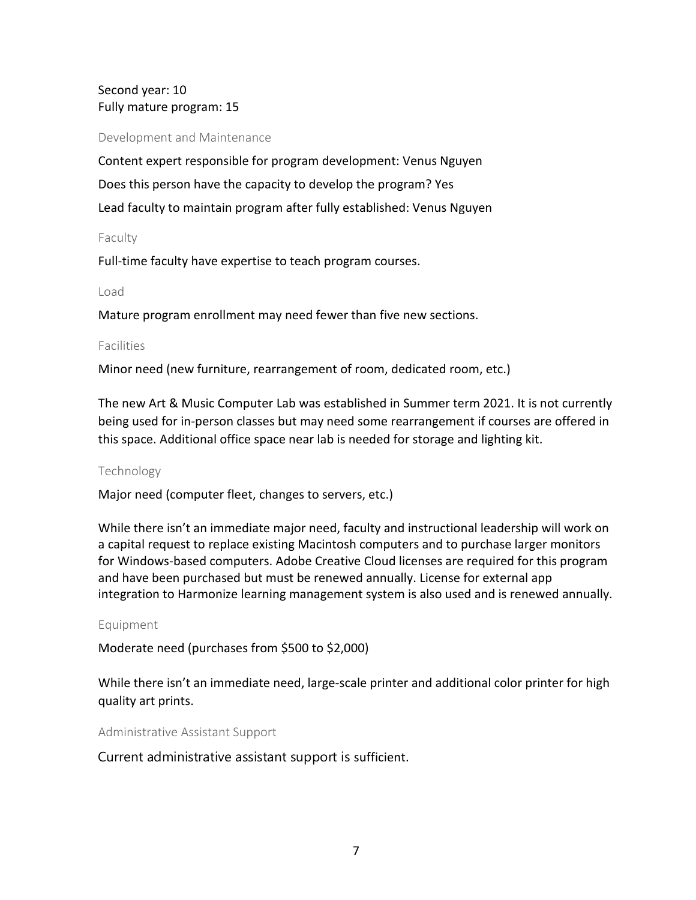# Second year: 10 Fully mature program: 15

<span id="page-6-0"></span>Development and Maintenance

Content expert responsible for program development: Venus Nguyen Does this person have the capacity to develop the program? Yes Lead faculty to maintain program after fully established: Venus Nguyen

#### <span id="page-6-1"></span>Faculty

Full-time faculty have expertise to teach program courses.

#### <span id="page-6-2"></span>Load

<span id="page-6-3"></span>Mature program enrollment may need fewer than five new sections.

#### Facilities

Minor need (new furniture, rearrangement of room, dedicated room, etc.)

The new Art & Music Computer Lab was established in Summer term 2021. It is not currently being used for in-person classes but may need some rearrangement if courses are offered in this space. Additional office space near lab is needed for storage and lighting kit.

#### <span id="page-6-4"></span>Technology

Major need (computer fleet, changes to servers, etc.)

While there isn't an immediate major need, faculty and instructional leadership will work on a capital request to replace existing Macintosh computers and to purchase larger monitors for Windows-based computers. Adobe Creative Cloud licenses are required for this program and have been purchased but must be renewed annually. License for external app integration to Harmonize learning management system is also used and is renewed annually.

#### <span id="page-6-5"></span>Equipment

Moderate need (purchases from \$500 to \$2,000)

While there isn't an immediate need, large-scale printer and additional color printer for high quality art prints.

<span id="page-6-6"></span>Administrative Assistant Support

Current administrative assistant support is sufficient.